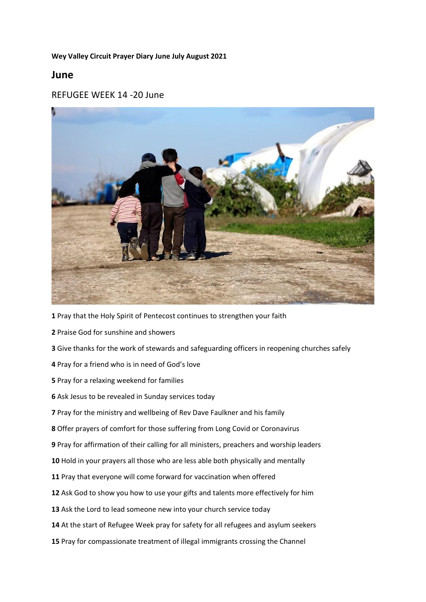### **Wey Valley Circuit Prayer Diary June July August 2021**

## **June**

### REFUGEE WEEK 14 -20 June



- Pray that the Holy Spirit of Pentecost continues to strengthen your faith
- Praise God for sunshine and showers
- Give thanks for the work of stewards and safeguarding officers in reopening churches safely
- Pray for a friend who is in need of God's love
- Pray for a relaxing weekend for families
- Ask Jesus to be revealed in Sunday services today
- Pray for the ministry and wellbeing of Rev Dave Faulkner and his family
- Offer prayers of comfort for those suffering from Long Covid or Coronavirus
- Pray for affirmation of their calling for all ministers, preachers and worship leaders
- Hold in your prayers all those who are less able both physically and mentally
- Pray that everyone will come forward for vaccination when offered
- Ask God to show you how to use your gifts and talents more effectively for him
- Ask the Lord to lead someone new into your church service today
- At the start of Refugee Week pray for safety for all refugees and asylum seekers
- Pray for compassionate treatment of illegal immigrants crossing the Channel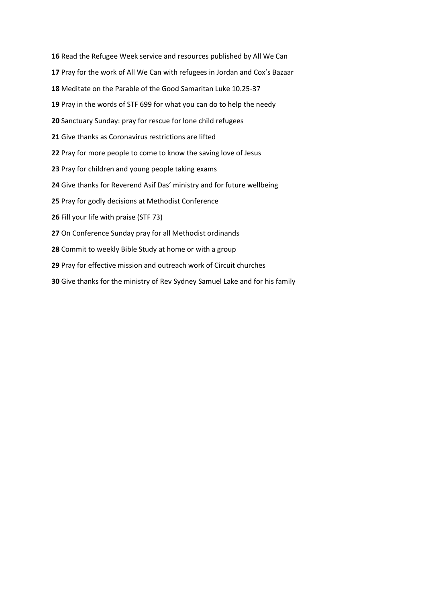Read the Refugee Week service and resources published by All We Can Pray for the work of All We Can with refugees in Jordan and Cox's Bazaar Meditate on the Parable of the Good Samaritan Luke 10.25-37 Pray in the words of STF 699 for what you can do to help the needy Sanctuary Sunday: pray for rescue for lone child refugees Give thanks as Coronavirus restrictions are lifted Pray for more people to come to know the saving love of Jesus Pray for children and young people taking exams Give thanks for Reverend Asif Das' ministry and for future wellbeing Pray for godly decisions at Methodist Conference Fill your life with praise (STF 73) On Conference Sunday pray for all Methodist ordinands Commit to weekly Bible Study at home or with a group Pray for effective mission and outreach work of Circuit churches Give thanks for the ministry of Rev Sydney Samuel Lake and for his family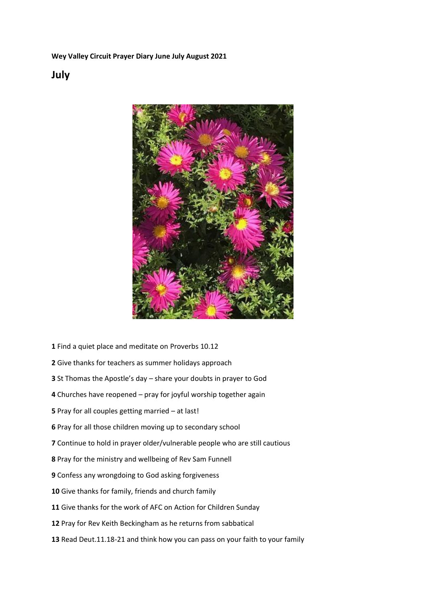**Wey Valley Circuit Prayer Diary June July August 2021**

## **July**



- Find a quiet place and meditate on Proverbs 10.12
- Give thanks for teachers as summer holidays approach
- St Thomas the Apostle's day share your doubts in prayer to God
- Churches have reopened pray for joyful worship together again
- Pray for all couples getting married at last!
- Pray for all those children moving up to secondary school
- Continue to hold in prayer older/vulnerable people who are still cautious
- Pray for the ministry and wellbeing of Rev Sam Funnell
- Confess any wrongdoing to God asking forgiveness
- Give thanks for family, friends and church family
- Give thanks for the work of AFC on Action for Children Sunday
- Pray for Rev Keith Beckingham as he returns from sabbatical
- Read Deut.11.18-21 and think how you can pass on your faith to your family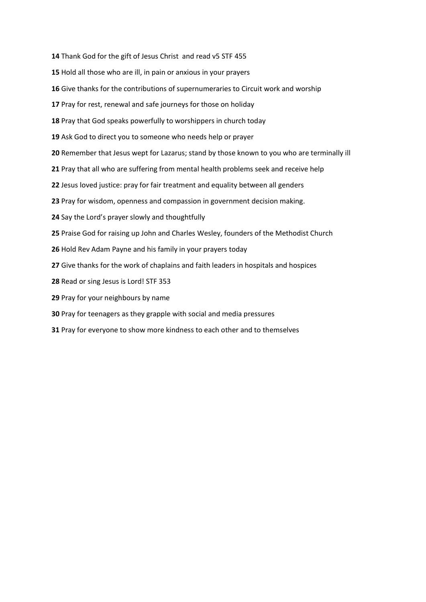- Thank God for the gift of Jesus Christ and read v5 STF 455
- Hold all those who are ill, in pain or anxious in your prayers
- Give thanks for the contributions of supernumeraries to Circuit work and worship
- Pray for rest, renewal and safe journeys for those on holiday
- Pray that God speaks powerfully to worshippers in church today
- Ask God to direct you to someone who needs help or prayer
- Remember that Jesus wept for Lazarus; stand by those known to you who are terminally ill
- Pray that all who are suffering from mental health problems seek and receive help
- Jesus loved justice: pray for fair treatment and equality between all genders
- Pray for wisdom, openness and compassion in government decision making.
- Say the Lord's prayer slowly and thoughtfully
- Praise God for raising up John and Charles Wesley, founders of the Methodist Church
- Hold Rev Adam Payne and his family in your prayers today
- Give thanks for the work of chaplains and faith leaders in hospitals and hospices
- Read or sing Jesus is Lord! STF 353
- Pray for your neighbours by name
- Pray for teenagers as they grapple with social and media pressures
- Pray for everyone to show more kindness to each other and to themselves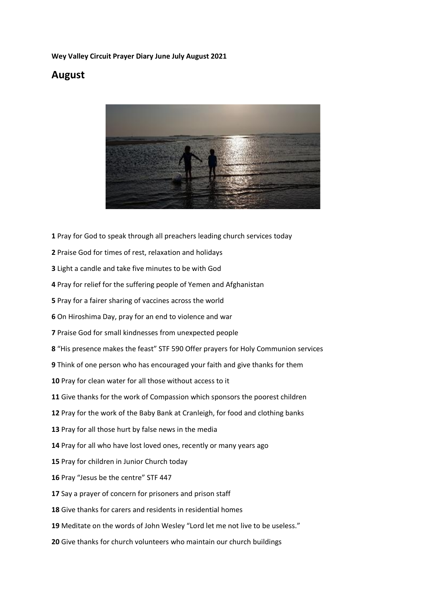### **Wey Valley Circuit Prayer Diary June July August 2021**

# **August**



- Pray for God to speak through all preachers leading church services today
- Praise God for times of rest, relaxation and holidays
- Light a candle and take five minutes to be with God
- Pray for relief for the suffering people of Yemen and Afghanistan
- Pray for a fairer sharing of vaccines across the world
- On Hiroshima Day, pray for an end to violence and war
- Praise God for small kindnesses from unexpected people
- "His presence makes the feast" STF 590 Offer prayers for Holy Communion services
- Think of one person who has encouraged your faith and give thanks for them
- Pray for clean water for all those without access to it
- Give thanks for the work of Compassion which sponsors the poorest children
- Pray for the work of the Baby Bank at Cranleigh, for food and clothing banks
- Pray for all those hurt by false news in the media
- Pray for all who have lost loved ones, recently or many years ago
- Pray for children in Junior Church today
- 16 Pray "Jesus be the centre" STF 447
- Say a prayer of concern for prisoners and prison staff
- Give thanks for carers and residents in residential homes
- Meditate on the words of John Wesley "Lord let me not live to be useless."
- Give thanks for church volunteers who maintain our church buildings